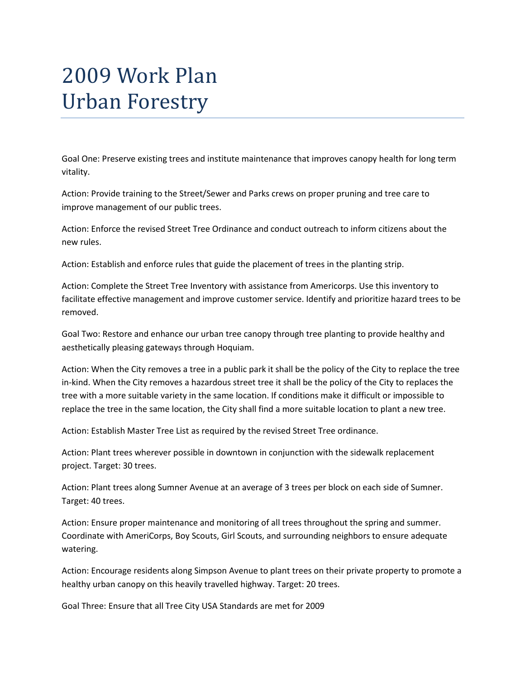## 2009 Work Plan Urban Forestry

Goal One: Preserve existing trees and institute maintenance that improves canopy health for long term vitality.

Action: Provide training to the Street/Sewer and Parks crews on proper pruning and tree care to improve management of our public trees.

Action: Enforce the revised Street Tree Ordinance and conduct outreach to inform citizens about the new rules.

Action: Establish and enforce rules that guide the placement of trees in the planting strip.

Action: Complete the Street Tree Inventory with assistance from Americorps. Use this inventory to facilitate effective management and improve customer service. Identify and prioritize hazard trees to be removed.

Goal Two: Restore and enhance our urban tree canopy through tree planting to provide healthy and aesthetically pleasing gateways through Hoquiam.

Action: When the City removes a tree in a public park it shall be the policy of the City to replace the tree in-kind. When the City removes a hazardous street tree it shall be the policy of the City to replaces the tree with a more suitable variety in the same location. If conditions make it difficult or impossible to replace the tree in the same location, the City shall find a more suitable location to plant a new tree.

Action: Establish Master Tree List as required by the revised Street Tree ordinance.

Action: Plant trees wherever possible in downtown in conjunction with the sidewalk replacement project. Target: 30 trees.

Action: Plant trees along Sumner Avenue at an average of 3 trees per block on each side of Sumner. Target: 40 trees.

Action: Ensure proper maintenance and monitoring of all trees throughout the spring and summer. Coordinate with AmeriCorps, Boy Scouts, Girl Scouts, and surrounding neighbors to ensure adequate watering.

Action: Encourage residents along Simpson Avenue to plant trees on their private property to promote a healthy urban canopy on this heavily travelled highway. Target: 20 trees.

Goal Three: Ensure that all Tree City USA Standards are met for 2009